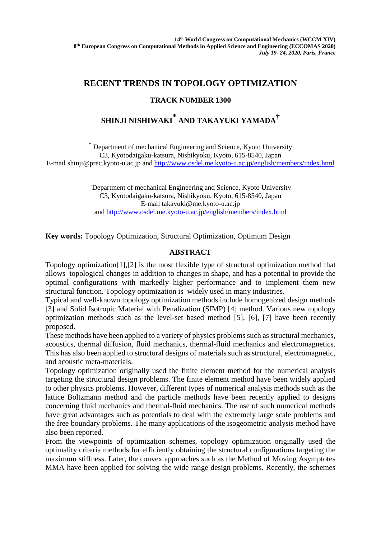## **RECENT TRENDS IN TOPOLOGY OPTIMIZATION**

## **TRACK NUMBER 1300**

# **SHINJI NISHIWAKI \* AND TAKAYUKI YAMADA†**

\* Department of mechanical Engineering and Science, Kyoto University C3, Kyotodaigaku-katsura, Nishikyoku, Kyoto, 615-8540, Japan E-mail shinji@prec.kyoto-u.ac.jp and<http://www.osdel.me.kyoto-u.ac.jp/english/members/index.html>

> † Department of mechanical Engineering and Science, Kyoto University C3, Kyotodaigaku-katsura, Nishikyoku, Kyoto, 615-8540, Japan E-mail takayuki@me.kyoto-u.ac.jp and<http://www.osdel.me.kyoto-u.ac.jp/english/members/index.html>

**Key words:** Topology Optimization, Structural Optimization, Optimum Design

### **ABSTRACT**

Topology optimization[1],[2] is the most flexible type of structural optimization method that allows topological changes in addition to changes in shape, and has a potential to provide the optimal configurations with markedly higher performance and to implement them new structural function. Topology optimization is widely used in many industries.

Typical and well-known topology optimization methods include homogenized design methods [3] and Solid Isotropic Material with Penalization (SIMP) [4] method. Various new topology optimization methods such as the level-set based method [5], [6], [7] have been recently proposed.

These methods have been applied to a variety of physics problems such as structural mechanics, acoustics, thermal diffusion, fluid mechanics, thermal-fluid mechanics and electromagnetics. This has also been applied to structural designs of materials such as structural, electromagnetic, and acoustic meta-materials.

Topology optimization originally used the finite element method for the numerical analysis targeting the structural design problems. The finite element method have been widely applied to other physics problems. However, different types of numerical analysis methods such as the lattice Boltzmann method and the particle methods have been recently applied to designs concerning fluid mechanics and thermal-fluid mechanics. The use of such numerical methods have great advantages such as potentials to deal with the extremely large scale problems and the free boundary problems. The many applications of the isogeometric analysis method have also been reported.

From the viewpoints of optimization schemes, topology optimization originally used the optimality criteria methods for efficiently obtaining the structural configurations targeting the maximum stiffness. Later, the convex approaches such as the Method of Moving Asymptotes MMA have been applied for solving the wide range design problems. Recently, the schemes